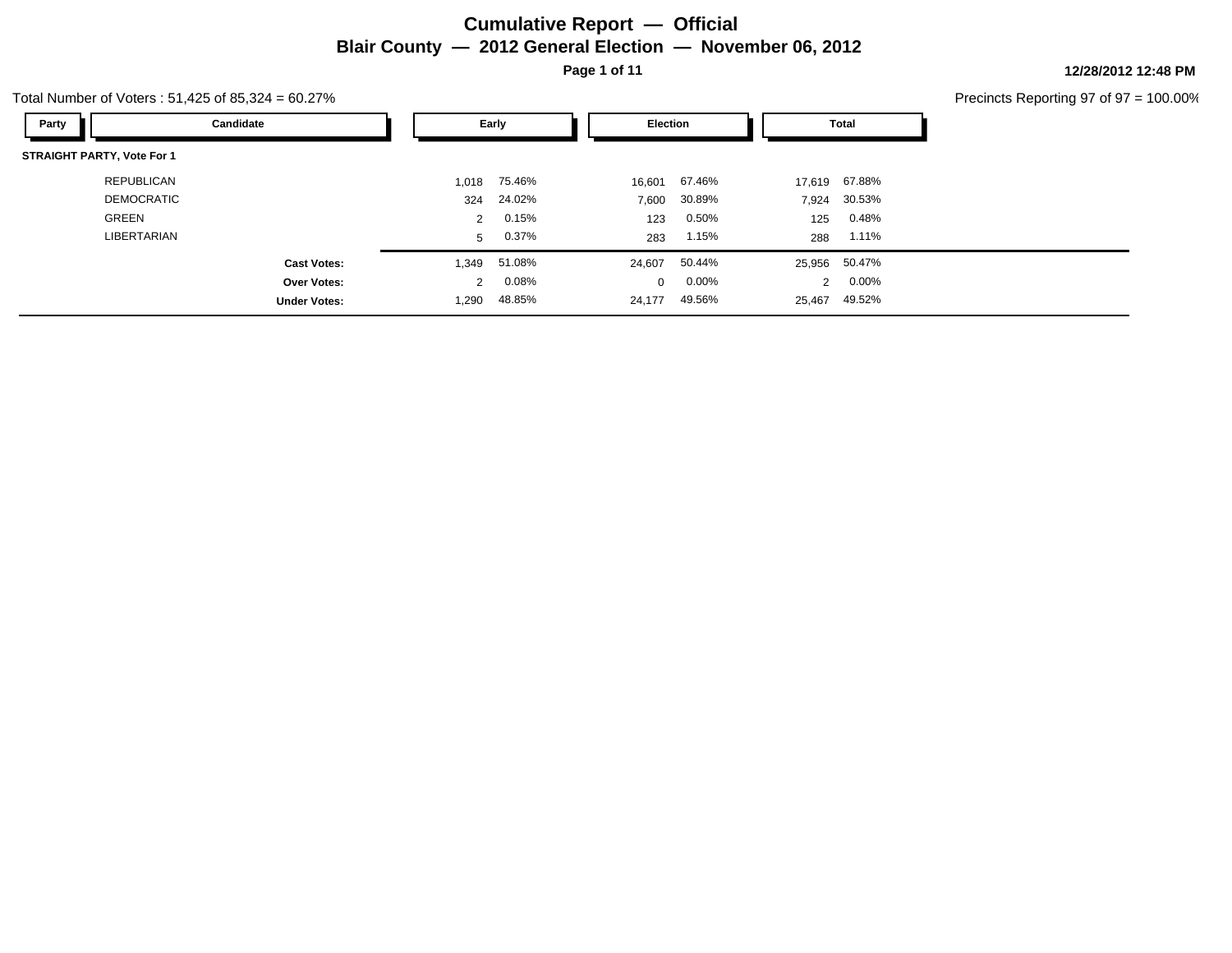# **Cumulative Report — Official Blair County — 2012 General Election — November 06, 2012 Page 1 of 11**

**12/28/2012 12:48 PM**

Total Number of Voters : 51,425 of 85,324 = 60.27%

| Party                             | Candidate           |       | Early    | <b>Election</b> |          |                | <b>Total</b>  |
|-----------------------------------|---------------------|-------|----------|-----------------|----------|----------------|---------------|
| <b>STRAIGHT PARTY, Vote For 1</b> |                     |       |          |                 |          |                |               |
| REPUBLICAN                        |                     | 1,018 | 75.46%   | 16,601          | 67.46%   | 17,619         | 67.88%        |
| <b>DEMOCRATIC</b>                 |                     | 324   | 24.02%   | 7,600           | 30.89%   | 7,924          | 30.53%        |
| <b>GREEN</b>                      |                     | 2     | 0.15%    | 123             | 0.50%    | 125            | 0.48%         |
| LIBERTARIAN                       |                     | 5     | $0.37\%$ | 283             | 1.15%    | 288            | 1.11%         |
|                                   | <b>Cast Votes:</b>  | 1,349 | 51.08%   | 24,607          | 50.44%   |                | 25,956 50.47% |
|                                   | Over Votes:         | 2     | 0.08%    | $\mathbf{0}$    | $0.00\%$ | $\overline{2}$ | 0.00%         |
|                                   | <b>Under Votes:</b> | 1,290 | 48.85%   | 24,177          | 49.56%   | 25,467         | 49.52%        |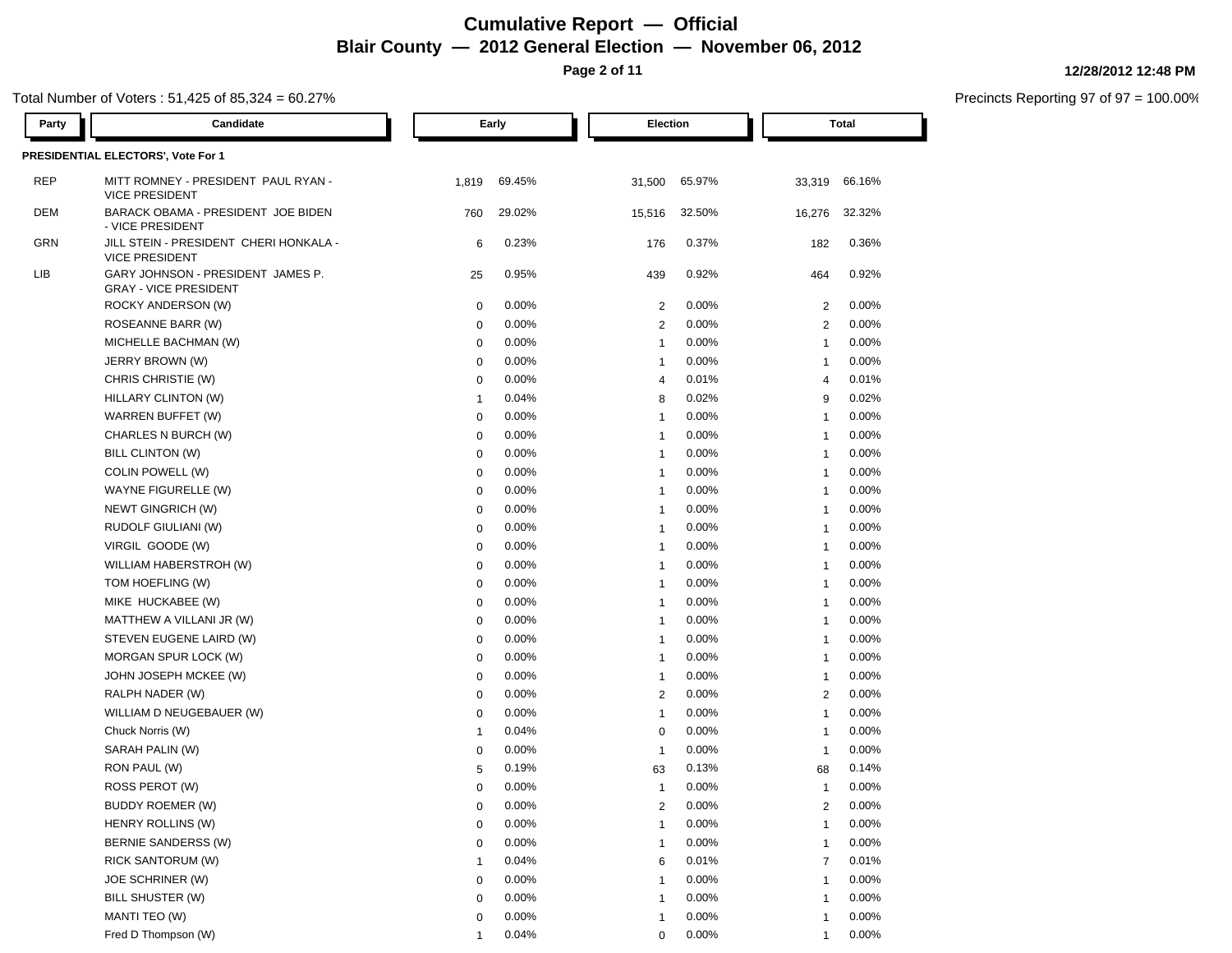# **Cumulative Report — Official Blair County — 2012 General Election — November 06, 2012**

**Page 2 of 11**

### Total Number of Voters : 51,425 of 85,324 = 60.27%

| Party      | Candidate                                                         |              | Early  | <b>Election</b>         |          |                | Total  |
|------------|-------------------------------------------------------------------|--------------|--------|-------------------------|----------|----------------|--------|
|            | PRESIDENTIAL ELECTORS', Vote For 1                                |              |        |                         |          |                |        |
| REP        | MITT ROMNEY - PRESIDENT PAUL RYAN -<br><b>VICE PRESIDENT</b>      | 1,819        | 69.45% | 31,500                  | 65.97%   | 33,319         | 66.16% |
| <b>DEM</b> | BARACK OBAMA - PRESIDENT JOE BIDEN<br>- VICE PRESIDENT            | 760          | 29.02% | 15,516                  | 32.50%   | 16,276         | 32.32% |
| GRN        | JILL STEIN - PRESIDENT CHERI HONKALA -<br><b>VICE PRESIDENT</b>   | 6            | 0.23%  | 176                     | 0.37%    | 182            | 0.36%  |
| LIB        | GARY JOHNSON - PRESIDENT JAMES P.<br><b>GRAY - VICE PRESIDENT</b> | 25           | 0.95%  | 439                     | 0.92%    | 464            | 0.92%  |
|            | ROCKY ANDERSON (W)                                                | $\mathbf 0$  | 0.00%  | $\overline{2}$          | 0.00%    | $\overline{2}$ | 0.00%  |
|            | ROSEANNE BARR (W)                                                 | $\mathbf 0$  | 0.00%  | $\overline{2}$          | 0.00%    | $\overline{2}$ | 0.00%  |
|            | MICHELLE BACHMAN (W)                                              | $\mathbf 0$  | 0.00%  | $\overline{1}$          | 0.00%    | $\overline{1}$ | 0.00%  |
|            | JERRY BROWN (W)                                                   | $\mathbf 0$  | 0.00%  | $\overline{1}$          | 0.00%    | $\mathbf{1}$   | 0.00%  |
|            | CHRIS CHRISTIE (W)                                                | $\mathbf 0$  | 0.00%  | $\overline{4}$          | 0.01%    | $\overline{4}$ | 0.01%  |
|            | HILLARY CLINTON (W)                                               | $\mathbf{1}$ | 0.04%  | 8                       | 0.02%    | 9              | 0.02%  |
|            | WARREN BUFFET (W)                                                 | 0            | 0.00%  | $\overline{1}$          | 0.00%    | $\mathbf{1}$   | 0.00%  |
|            | CHARLES N BURCH (W)                                               | $\mathbf 0$  | 0.00%  | $\overline{1}$          | 0.00%    | $\overline{1}$ | 0.00%  |
|            | BILL CLINTON (W)                                                  | 0            | 0.00%  | $\overline{1}$          | 0.00%    | $\mathbf{1}$   | 0.00%  |
|            | COLIN POWELL (W)                                                  | 0            | 0.00%  | $\overline{1}$          | 0.00%    | $\mathbf{1}$   | 0.00%  |
|            | WAYNE FIGURELLE (W)                                               | 0            | 0.00%  | $\overline{1}$          | 0.00%    | $\mathbf{1}$   | 0.00%  |
|            | NEWT GINGRICH (W)                                                 | 0            | 0.00%  | $\overline{1}$          | 0.00%    | -1             | 0.00%  |
|            | RUDOLF GIULIANI (W)                                               | 0            | 0.00%  | -1                      | 0.00%    | $\mathbf{1}$   | 0.00%  |
|            | VIRGIL GOODE (W)                                                  | 0            | 0.00%  | -1                      | 0.00%    | $\mathbf{1}$   | 0.00%  |
|            | WILLIAM HABERSTROH (W)                                            | 0            | 0.00%  | -1                      | $0.00\%$ | $\mathbf{1}$   | 0.00%  |
|            | TOM HOEFLING (W)                                                  | 0            | 0.00%  | -1                      | $0.00\%$ | $\mathbf{1}$   | 0.00%  |
|            | MIKE HUCKABEE (W)                                                 | 0            | 0.00%  | $\overline{1}$          | 0.00%    | $\mathbf{1}$   | 0.00%  |
|            | MATTHEW A VILLANI JR (W)                                          | $\mathbf 0$  | 0.00%  | -1                      | 0.00%    | $\mathbf{1}$   | 0.00%  |
|            | STEVEN EUGENE LAIRD (W)                                           | $\mathbf 0$  | 0.00%  | $\overline{1}$          | $0.00\%$ | $\mathbf{1}$   | 0.00%  |
|            | MORGAN SPUR LOCK (W)                                              | $\mathbf 0$  | 0.00%  | $\overline{1}$          | $0.00\%$ | $\mathbf{1}$   | 0.00%  |
|            | JOHN JOSEPH MCKEE (W)                                             | 0            | 0.00%  | -1                      | $0.00\%$ | $\mathbf{1}$   | 0.00%  |
|            | RALPH NADER (W)                                                   | 0            | 0.00%  | $\overline{2}$          | $0.00\%$ | 2              | 0.00%  |
|            | WILLIAM D NEUGEBAUER (W)                                          | 0            | 0.00%  | $\overline{1}$          | 0.00%    | $\mathbf{1}$   | 0.00%  |
|            | Chuck Norris (W)                                                  | $\mathbf{1}$ | 0.04%  | 0                       | $0.00\%$ | -1             | 0.00%  |
|            | SARAH PALIN (W)                                                   | 0            | 0.00%  | -1                      | 0.00%    | $\mathbf{1}$   | 0.00%  |
|            | RON PAUL (W)                                                      | 5            | 0.19%  | 63                      | 0.13%    | 68             | 0.14%  |
|            | ROSS PEROT (W)                                                    | $\mathbf 0$  | 0.00%  | $\mathbf{1}$            | 0.00%    | $\mathbf{1}$   | 0.00%  |
|            | <b>BUDDY ROEMER (W)</b>                                           |              | 0.00%  | $\overline{2}$          | 0.00%    |                | 0.00%  |
|            | HENRY ROLLINS (W)                                                 | $\mathbf 0$  | 0.00%  | -1                      | 0.00%    | -1             | 0.00%  |
|            | <b>BERNIE SANDERSS (W)</b>                                        | $\mathbf 0$  | 0.00%  |                         | 0.00%    |                | 0.00%  |
|            | <b>RICK SANTORUM (W)</b>                                          | -1           | 0.04%  | 6                       | 0.01%    | 7              | 0.01%  |
|            | JOE SCHRINER (W)                                                  | $\mathbf 0$  | 0.00%  |                         | 0.00%    |                | 0.00%  |
|            | <b>BILL SHUSTER (W)</b>                                           | $\mathbf 0$  | 0.00%  |                         | 0.00%    |                | 0.00%  |
|            | MANTI TEO (W)                                                     | $\mathbf 0$  | 0.00%  | $\overline{\mathbf{1}}$ | 0.00%    | $\overline{1}$ | 0.00%  |

Fred D Thompson (W) 1 0.04% 1 0.04% 0 0.00% 1 0.00% 1 0.00%

#### **12/28/2012 12:48 PM**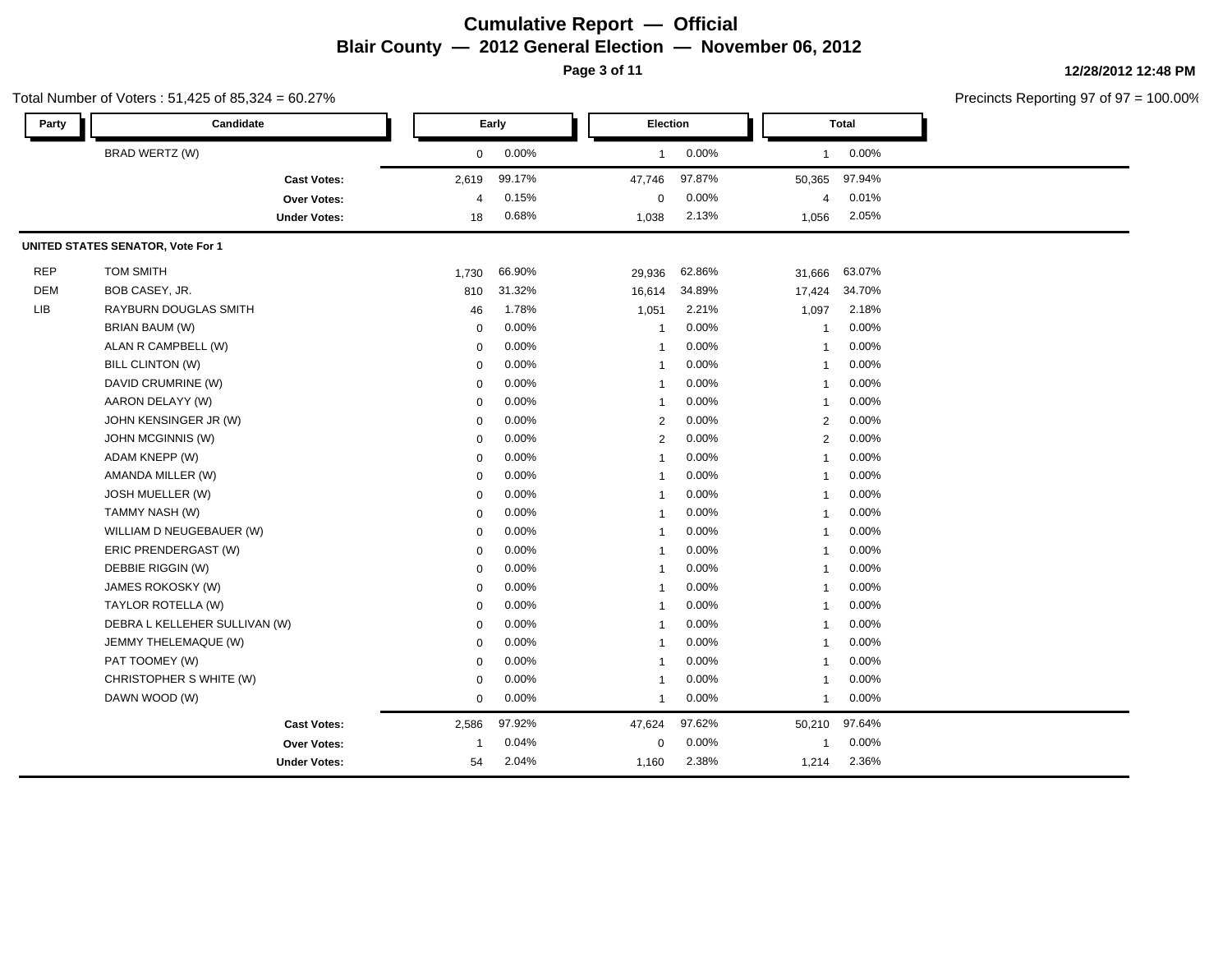### **Cumulative Report — Official Blair County — 2012 General Election — November 06, 2012 Page 3 of 11**

**12/28/2012 12:48 PM**

Precincts Reporting 97 of 97 = 100.00% **Party Candidate Early Election Total** BRAD WERTZ (W) 0 0.00% 1 0.00% 1 0.00% **Cast Votes:** 2,619 99.17% 47,746 97.87% 50,365 97.94% **Over Votes:** 4 0.15% Under Votes: 18 0.68% 0.15% 0 1.038 2.13% 1,038 2.13% 1,056 2.05% 0.00% 4 0.01% 2.13% 1,056 2.05% **UNITED STATES SENATOR, Vote For 1** REP TOM SMITH 1,730 66.90% 29,936 62.86% 31,666 63.07% DEM BOB CASEY, JR. 810 31.32% 16,614 34.89% 17,424 34.70% LIB RAYBURN DOUGLAS SMITH 46 1.78% 1,051 2.21% 1,097 2.18% BRIAN BAUM (W) 0 0.00% 1 0.00% 1 0.00% ALAN R CAMPBELL (W) 0 0.00% 1 0.00% 1 0.00% BILL CLINTON (W) 0 0.00% 1 0.00% 1 0.00% DAVID CRUMRINE (W) 8 0 000 1 0 0.00% 1 0.00% 1 0.00% 1 0.00% 1 0.00% 1 0.00% 1 0.00% 1 0.00% 1 0.00% 1 0.00% 1 0.00% 1 0.00% 1 0.00% 1 0.00% 1 0.00% 1 0.00% 1 0.00% 1 0.00% 1 0.00% 1 0.00% 1 0.00% 1 0.00% 1 0.00% 1 0.00% 1 AARON DELAYY (W) 0 0.00% 1 0.00% 1 0.00% JOHN KENSINGER JR (W) 0 0.00% 2 0.00% 2 0.00% JOHN MCGINNIS (W) 0 0.00% 2 0.00% 2 0.00% ADAM KNEPP (W) 0 0.00% 1 0.00% 1 0.00% AMANDA MILLER (W) 0 0.00% 1 0.00% 1 0.00% JOSH MUELLER (W) 0 0.00% 1 0.00% 1 0.00% TAMMY NASH (W) 0 0.00% 1 0.00% 1 0.00% WILLIAM D NEUGEBAUER (W)  $0.00\%$  1 0.00% 1 0.00% 1 0.00% ERIC PRENDERGAST (W) 0 0.00% 1 0.00% 1 0.00% DEBBIE RIGGIN (W) 0 0.00% 1 0.00% 1 0.00% JAMES ROKOSKY (W) 0 0.00% 1 0.00% 1 0.00% TAYLOR ROTELLA (W) 0 0.00% 1 0.00% 1 0.00% DEBRA L KELLEHER SULLIVAN (W) 0 0.00% 1 0.00% 1 0.00% JEMMY THELEMAQUE (W) 0 0.00% 1 0.00% 1 0.00% PAT TOOMEY (W) 0 0.00% 1 0.00% 1 0.00% CHRISTOPHER S WHITE (W)  $0.00\%$   $0.00\%$  1 0.00% 1 0.00% DAWN WOOD (W) 0 0.00% 1 0.00% 1 0.00% **Cast Votes:** 2,586 97.92% 47,624 97.62% 50,210 97.64% **Over Votes:** 1 0.04% **Under Votes:** 54 0.04% 0 1.160 2.38% 1,160 2.38% 1,214 2.36% 0.00% 1 0.00% 2.38% 2.36%

#### Total Number of Voters : 51,425 of 85,324 = 60.27%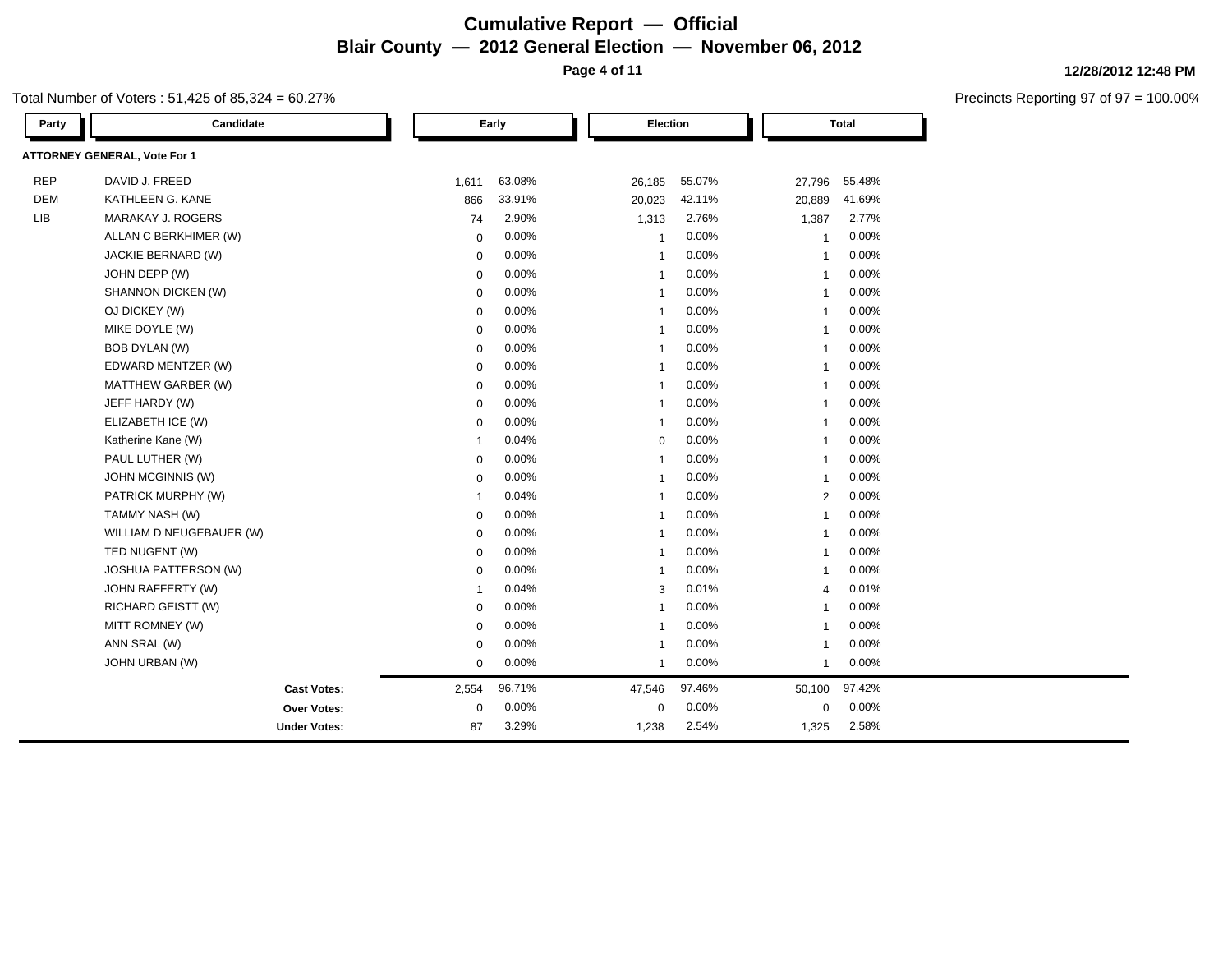# **Cumulative Report — Official Blair County — 2012 General Election — November 06, 2012 Page 4 of 11**

Total Number of Voters : 51,425 of 85,324 = 60.27%

| Party      | Candidate                           |              | Early  | Election       |        |                | <b>Total</b> |  |
|------------|-------------------------------------|--------------|--------|----------------|--------|----------------|--------------|--|
|            | <b>ATTORNEY GENERAL, Vote For 1</b> |              |        |                |        |                |              |  |
| <b>REP</b> | DAVID J. FREED                      | 1,611        | 63.08% | 26,185         | 55.07% | 27,796         | 55.48%       |  |
| <b>DEM</b> | KATHLEEN G. KANE                    | 866          | 33.91% | 20,023         | 42.11% | 20,889         | 41.69%       |  |
| <b>LIB</b> | MARAKAY J. ROGERS                   | 74           | 2.90%  | 1,313          | 2.76%  | 1,387          | 2.77%        |  |
|            | ALLAN C BERKHIMER (W)               | $\mathbf 0$  | 0.00%  | $\overline{1}$ | 0.00%  | $\overline{1}$ | 0.00%        |  |
|            | JACKIE BERNARD (W)                  | $\mathbf 0$  | 0.00%  | $\overline{1}$ | 0.00%  | $\overline{1}$ | 0.00%        |  |
|            | JOHN DEPP (W)                       | 0            | 0.00%  | $\overline{1}$ | 0.00%  | $\mathbf{1}$   | 0.00%        |  |
|            | SHANNON DICKEN (W)                  | $\mathbf 0$  | 0.00%  | $\overline{1}$ | 0.00%  | $\overline{1}$ | 0.00%        |  |
|            | OJ DICKEY (W)                       | $\mathbf 0$  | 0.00%  | $\overline{1}$ | 0.00%  | $\overline{1}$ | 0.00%        |  |
|            | MIKE DOYLE (W)                      | $\mathbf 0$  | 0.00%  | $\overline{1}$ | 0.00%  | $\overline{1}$ | 0.00%        |  |
|            | BOB DYLAN (W)                       | $\mathbf 0$  | 0.00%  | $\overline{1}$ | 0.00%  | $\overline{1}$ | 0.00%        |  |
|            | EDWARD MENTZER (W)                  | $\mathbf 0$  | 0.00%  | $\overline{1}$ | 0.00%  | $\overline{1}$ | 0.00%        |  |
|            | MATTHEW GARBER (W)                  | $\mathbf 0$  | 0.00%  | $\overline{1}$ | 0.00%  | $\overline{1}$ | 0.00%        |  |
|            | JEFF HARDY (W)                      | $\mathbf 0$  | 0.00%  | $\overline{1}$ | 0.00%  | $\overline{1}$ | 0.00%        |  |
|            | ELIZABETH ICE (W)                   | $\mathbf 0$  | 0.00%  | $\overline{1}$ | 0.00%  | $\mathbf{1}$   | 0.00%        |  |
|            | Katherine Kane (W)                  | $\mathbf{1}$ | 0.04%  | $\mathbf 0$    | 0.00%  | $\overline{1}$ | 0.00%        |  |
|            | PAUL LUTHER (W)                     | $\mathbf 0$  | 0.00%  | $\overline{1}$ | 0.00%  | $\overline{1}$ | 0.00%        |  |
|            | JOHN MCGINNIS (W)                   | 0            | 0.00%  | $\overline{1}$ | 0.00%  | $\overline{1}$ | 0.00%        |  |
|            | PATRICK MURPHY (W)                  | -1           | 0.04%  | -1             | 0.00%  | 2              | 0.00%        |  |
|            | TAMMY NASH (W)                      | $\mathbf 0$  | 0.00%  | $\overline{1}$ | 0.00%  | $\overline{1}$ | 0.00%        |  |
|            | WILLIAM D NEUGEBAUER (W)            | $\mathbf 0$  | 0.00%  | $\overline{1}$ | 0.00%  | $\overline{1}$ | 0.00%        |  |
|            | TED NUGENT (W)                      | $\mathbf 0$  | 0.00%  | $\overline{1}$ | 0.00%  | $\overline{1}$ | 0.00%        |  |
|            | JOSHUA PATTERSON (W)                | $\mathbf 0$  | 0.00%  | $\overline{1}$ | 0.00%  | $\mathbf{1}$   | 0.00%        |  |
|            | JOHN RAFFERTY (W)                   | -1           | 0.04%  | 3              | 0.01%  | $\overline{4}$ | 0.01%        |  |
|            | RICHARD GEISTT (W)                  | $\mathbf 0$  | 0.00%  | $\overline{1}$ | 0.00%  | 1              | 0.00%        |  |
|            | MITT ROMNEY (W)                     | $\mathbf 0$  | 0.00%  | $\overline{1}$ | 0.00%  | $\overline{1}$ | 0.00%        |  |
|            | ANN SRAL (W)                        | $\mathbf 0$  | 0.00%  | $\overline{1}$ | 0.00%  | $\overline{1}$ | 0.00%        |  |
|            | JOHN URBAN (W)                      | $\mathbf 0$  | 0.00%  | $\overline{1}$ | 0.00%  | $\mathbf{1}$   | 0.00%        |  |
|            | <b>Cast Votes:</b>                  | 2,554        | 96.71% | 47,546         | 97.46% | 50,100         | 97.42%       |  |
|            | Over Votes:                         | $\mathbf 0$  | 0.00%  | $\mathbf 0$    | 0.00%  | $\mathbf 0$    | 0.00%        |  |
|            | <b>Under Votes:</b>                 | 87           | 3.29%  | 1,238          | 2.54%  | 1,325          | 2.58%        |  |

### **12/28/2012 12:48 PM**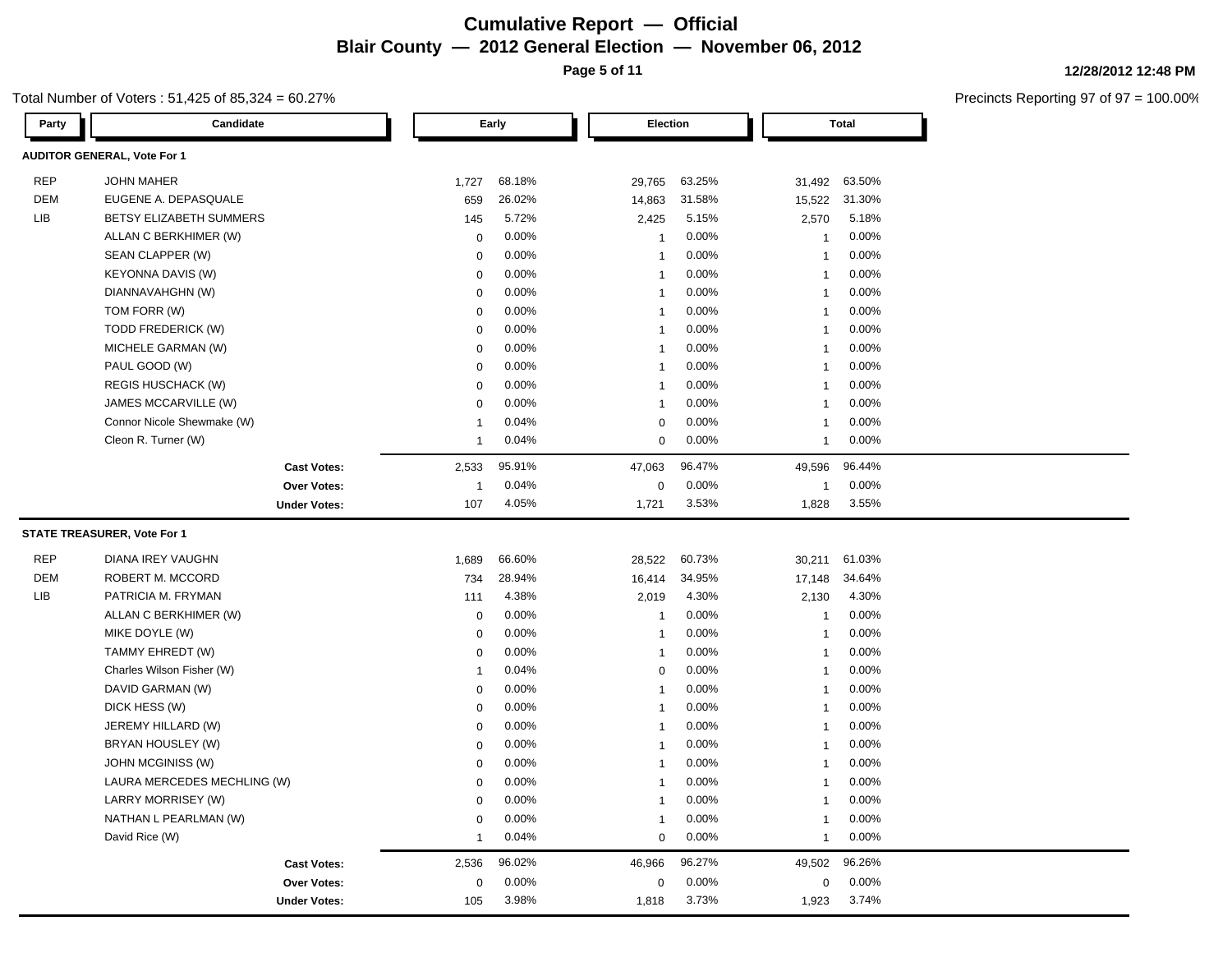# **Cumulative Report — Official Blair County — 2012 General**

Total Number of Voters : 51,425 of 85,324 = 60.27%

|              | eral Election — November 06, 2012 |  |
|--------------|-----------------------------------|--|
| Page 5 of 11 |                                   |  |

Precincts Reporting 97 of 97 = 100.00%

**12/28/2012 12:48 PM**

| Party      | Candidate                          |                         | Early  | Election       |        |                | <b>Total</b> |
|------------|------------------------------------|-------------------------|--------|----------------|--------|----------------|--------------|
|            | <b>AUDITOR GENERAL, Vote For 1</b> |                         |        |                |        |                |              |
| <b>REP</b> | <b>JOHN MAHER</b>                  | 1,727                   | 68.18% | 29,765         | 63.25% | 31,492         | 63.50%       |
| <b>DEM</b> | EUGENE A. DEPASQUALE               | 659                     | 26.02% | 14,863         | 31.58% | 15,522         | 31.30%       |
| <b>LIB</b> | BETSY ELIZABETH SUMMERS            | 145                     | 5.72%  | 2,425          | 5.15%  | 2,570          | 5.18%        |
|            | ALLAN C BERKHIMER (W)              | 0                       | 0.00%  | $\overline{1}$ | 0.00%  | $\overline{1}$ | 0.00%        |
|            | SEAN CLAPPER (W)                   | $\mathbf 0$             | 0.00%  | 1              | 0.00%  | 1              | 0.00%        |
|            | <b>KEYONNA DAVIS (W)</b>           | $\mathbf 0$             | 0.00%  | 1              | 0.00%  | 1              | 0.00%        |
|            | DIANNAVAHGHN (W)                   | 0                       | 0.00%  | $\overline{1}$ | 0.00%  | 1              | 0.00%        |
|            | TOM FORR (W)                       | $\Omega$                | 0.00%  | $\overline{1}$ | 0.00%  | 1              | 0.00%        |
|            | TODD FREDERICK (W)                 | 0                       | 0.00%  | $\overline{1}$ | 0.00%  | 1              | 0.00%        |
|            | MICHELE GARMAN (W)                 | $\mathbf 0$             | 0.00%  | $\mathbf 1$    | 0.00%  | 1              | 0.00%        |
|            | PAUL GOOD (W)                      | $\mathbf 0$             | 0.00%  | $\overline{1}$ | 0.00%  | $\overline{1}$ | 0.00%        |
|            | <b>REGIS HUSCHACK (W)</b>          | $\mathbf 0$             | 0.00%  | 1              | 0.00%  | 1              | 0.00%        |
|            | JAMES MCCARVILLE (W)               | $\mathbf 0$             | 0.00%  | $\overline{1}$ | 0.00%  | 1              | 0.00%        |
|            | Connor Nicole Shewmake (W)         | $\overline{1}$          | 0.04%  | 0              | 0.00%  | 1              | 0.00%        |
|            | Cleon R. Turner (W)                | $\overline{1}$          | 0.04%  | 0              | 0.00%  | $\overline{1}$ | 0.00%        |
|            | <b>Cast Votes:</b>                 | 2,533                   | 95.91% | 47,063         | 96.47% | 49,596         | 96.44%       |
|            | Over Votes:                        | $\overline{\mathbf{1}}$ | 0.04%  | $\mathsf 0$    | 0.00%  | $\overline{1}$ | 0.00%        |
|            | <b>Under Votes:</b>                | 107                     | 4.05%  | 1,721          | 3.53%  | 1,828          | 3.55%        |
|            | STATE TREASURER, Vote For 1        |                         |        |                |        |                |              |
| <b>REP</b> | DIANA IREY VAUGHN                  | 1,689                   | 66.60% | 28,522         | 60.73% | 30,211         | 61.03%       |
| <b>DEM</b> | ROBERT M. MCCORD                   | 734                     | 28.94% | 16,414         | 34.95% | 17,148         | 34.64%       |
| LIB        | PATRICIA M. FRYMAN                 | 111                     | 4.38%  | 2,019          | 4.30%  | 2,130          | 4.30%        |
|            | ALLAN C BERKHIMER (W)              | $\mathbf 0$             | 0.00%  | $\mathbf{1}$   | 0.00%  | $\overline{1}$ | 0.00%        |
|            | MIKE DOYLE (W)                     | $\mathbf 0$             | 0.00%  | $\overline{1}$ | 0.00%  | $\overline{1}$ | 0.00%        |
|            | TAMMY EHREDT (W)                   | 0                       | 0.00%  | $\overline{1}$ | 0.00%  | 1              | 0.00%        |
|            | Charles Wilson Fisher (W)          | $\overline{1}$          | 0.04%  | 0              | 0.00%  | $\overline{1}$ | 0.00%        |
|            | DAVID GARMAN (W)                   | $\mathbf 0$             | 0.00%  | 1              | 0.00%  | 1              | 0.00%        |
|            | DICK HESS (W)                      | $\mathbf 0$             | 0.00%  | $\overline{1}$ | 0.00%  | $\overline{1}$ | 0.00%        |
|            | JEREMY HILLARD (W)                 | $\mathbf 0$             | 0.00%  | 1              | 0.00%  | 1              | 0.00%        |
|            | BRYAN HOUSLEY (W)                  | $\mathbf 0$             | 0.00%  | 1              | 0.00%  | 1              | $0.00\%$     |
|            | JOHN MCGINISS (W)                  | 0                       | 0.00%  | $\overline{1}$ | 0.00%  | 1              | 0.00%        |
|            | LAURA MERCEDES MECHLING (W)        | $\mathbf 0$             | 0.00%  | $\overline{1}$ | 0.00%  | $\mathbf 1$    | 0.00%        |
|            | LARRY MORRISEY (W)                 | 0                       | 0.00%  | $\overline{1}$ | 0.00%  | 1              | 0.00%        |
|            | NATHAN L PEARLMAN (W)              | $\mathbf 0$             | 0.00%  | $\mathbf 1$    | 0.00%  | $\mathbf 1$    | 0.00%        |
|            | David Rice (W)                     | $\overline{1}$          | 0.04%  | 0              | 0.00%  | $\mathbf 1$    | 0.00%        |
|            | <b>Cast Votes:</b>                 | 2,536                   | 96.02% | 46,966         | 96.27% | 49,502         | 96.26%       |
|            | <b>Over Votes:</b>                 | 0                       | 0.00%  | $\pmb{0}$      | 0.00%  | 0              | 0.00%        |
|            | <b>Under Votes:</b>                | 105                     | 3.98%  | 1,818          | 3.73%  | 1,923          | 3.74%        |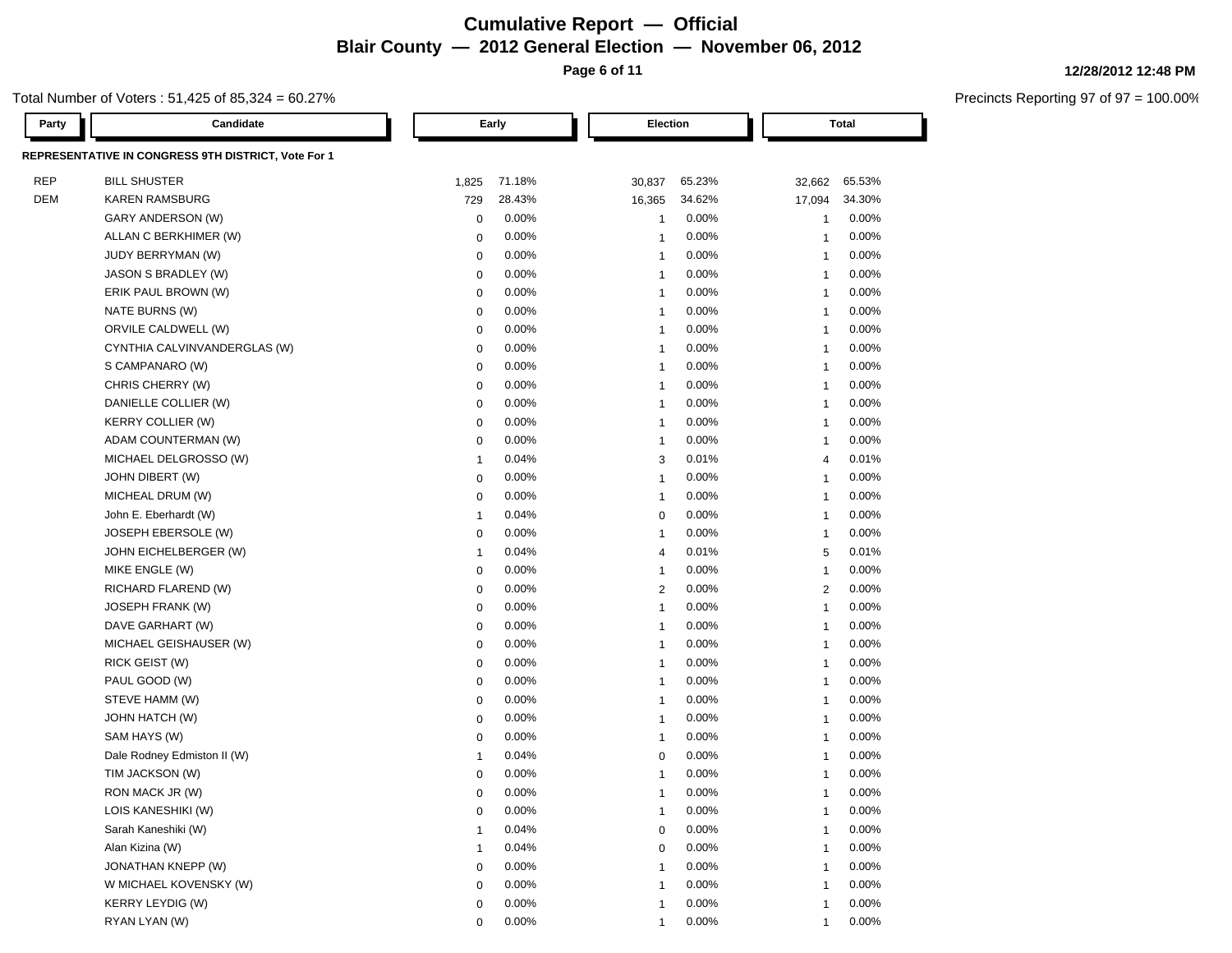# **Cumulative Report — Official Blair County — 2012 General Election — November 06, 2012 Page 6 of 11**

Total Number of Voters : 51,425 of 85,324 = 60.27%

| Party      | Candidate                                           |                | Early    | Election                |          |                | <b>Total</b> |
|------------|-----------------------------------------------------|----------------|----------|-------------------------|----------|----------------|--------------|
|            | REPRESENTATIVE IN CONGRESS 9TH DISTRICT, Vote For 1 |                |          |                         |          |                |              |
| <b>REP</b> | <b>BILL SHUSTER</b>                                 | 1,825          | 71.18%   | 30,837                  | 65.23%   | 32,662         | 65.53%       |
| DEM        | <b>KAREN RAMSBURG</b>                               | 729            | 28.43%   | 16,365                  | 34.62%   | 17,094         | 34.30%       |
|            | GARY ANDERSON (W)                                   | 0              | 0.00%    | $\mathbf{1}$            | 0.00%    | $\mathbf{1}$   | 0.00%        |
|            | ALLAN C BERKHIMER (W)                               | 0              | 0.00%    | $\mathbf{1}$            | 0.00%    | -1             | 0.00%        |
|            | <b>JUDY BERRYMAN (W)</b>                            | $\mathbf 0$    | 0.00%    | $\mathbf{1}$            | 0.00%    | $\overline{1}$ | 0.00%        |
|            | JASON S BRADLEY (W)                                 | 0              | 0.00%    | $\mathbf{1}$            | 0.00%    | $\overline{1}$ | 0.00%        |
|            | ERIK PAUL BROWN (W)                                 | 0              | 0.00%    | $\mathbf{1}$            | 0.00%    | $\overline{1}$ | 0.00%        |
|            | NATE BURNS (W)                                      | 0              | 0.00%    | $\mathbf{1}$            | 0.00%    | $\overline{1}$ | 0.00%        |
|            | ORVILE CALDWELL (W)                                 | 0              | 0.00%    | $\mathbf{1}$            | 0.00%    | $\overline{1}$ | 0.00%        |
|            | CYNTHIA CALVINVANDERGLAS (W)                        | 0              | 0.00%    | $\mathbf{1}$            | 0.00%    | $\mathbf 1$    | 0.00%        |
|            | S CAMPANARO (W)                                     | 0              | 0.00%    | $\mathbf{1}$            | 0.00%    | $\mathbf 1$    | 0.00%        |
|            | CHRIS CHERRY (W)                                    | 0              | 0.00%    | $\mathbf{1}$            | 0.00%    | $\overline{1}$ | 0.00%        |
|            | DANIELLE COLLIER (W)                                | 0              | 0.00%    | $\mathbf{1}$            | 0.00%    | $\overline{1}$ | 0.00%        |
|            | <b>KERRY COLLIER (W)</b>                            | 0              | 0.00%    | $\mathbf{1}$            | 0.00%    | -1             | 0.00%        |
|            | ADAM COUNTERMAN (W)                                 | 0              | 0.00%    | $\mathbf{1}$            | 0.00%    | -1             | 0.00%        |
|            | MICHAEL DELGROSSO (W)                               | $\overline{1}$ | 0.04%    | 3                       | 0.01%    | 4              | 0.01%        |
|            | JOHN DIBERT (W)                                     | $\mathbf 0$    | 0.00%    | $\mathbf{1}$            | 0.00%    | $\overline{1}$ | 0.00%        |
|            | MICHEAL DRUM (W)                                    | $\mathbf 0$    | 0.00%    | $\mathbf{1}$            | 0.00%    | $\overline{1}$ | 0.00%        |
|            | John E. Eberhardt (W)                               | $\overline{1}$ | 0.04%    | 0                       | 0.00%    | $\overline{1}$ | 0.00%        |
|            | JOSEPH EBERSOLE (W)                                 | $\mathbf 0$    | 0.00%    | $\mathbf{1}$            | 0.00%    | $\overline{1}$ | 0.00%        |
|            | JOHN EICHELBERGER (W)                               | $\overline{1}$ | 0.04%    | $\overline{4}$          | 0.01%    | 5              | 0.01%        |
|            | MIKE ENGLE (W)                                      | 0              | 0.00%    | $\mathbf{1}$            | 0.00%    | $\overline{1}$ | 0.00%        |
|            | RICHARD FLAREND (W)                                 | 0              | 0.00%    | $\overline{2}$          | $0.00\%$ | 2              | 0.00%        |
|            | JOSEPH FRANK (W)                                    | 0              | 0.00%    | $\mathbf{1}$            | $0.00\%$ | $\overline{1}$ | 0.00%        |
|            | DAVE GARHART (W)                                    | 0              | 0.00%    | $\overline{\mathbf{1}}$ | 0.00%    | $\overline{1}$ | 0.00%        |
|            | MICHAEL GEISHAUSER (W)                              | 0              | 0.00%    | $\mathbf 1$             | 0.00%    | -1             | 0.00%        |
|            | RICK GEIST (W)                                      | 0              | 0.00%    | $\mathbf{1}$            | 0.00%    | $\overline{1}$ | 0.00%        |
|            | PAUL GOOD (W)                                       | 0              | 0.00%    | $\mathbf{1}$            | 0.00%    | $\overline{1}$ | 0.00%        |
|            | STEVE HAMM (W)                                      | 0              | 0.00%    | -1                      | 0.00%    | $\overline{1}$ | 0.00%        |
|            | JOHN HATCH (W)                                      | 0              | 0.00%    | -1                      | 0.00%    | -1             | 0.00%        |
|            | SAM HAYS (W)                                        | 0              | 0.00%    | -1                      | $0.00\%$ | $\overline{1}$ | 0.00%        |
|            | Dale Rodney Edmiston II (W)                         | -1             | 0.04%    | $\mathbf 0$             | $0.00\%$ | $\overline{1}$ | 0.00%        |
|            | TIM JACKSON (W)                                     | 0              | 0.00%    | 1                       | 0.00%    | 1              | 0.00%        |
|            | RON MACK JR (W)                                     | $\mathbf 0$    | 0.00%    | 1                       | 0.00%    | 1              | 0.00%        |
|            | LOIS KANESHIKI (W)                                  | 0              | $0.00\%$ | 1                       | $0.00\%$ | $\mathbf{1}$   | $0.00\%$     |
|            | Sarah Kaneshiki (W)                                 | $\overline{1}$ | 0.04%    | $\mathbf 0$             | 0.00%    | $\overline{1}$ | 0.00%        |
|            | Alan Kizina (W)                                     | $\overline{1}$ | 0.04%    | 0                       | 0.00%    | $\overline{1}$ | 0.00%        |
|            | JONATHAN KNEPP (W)                                  | 0              | 0.00%    | 1                       | $0.00\%$ | $\overline{1}$ | 0.00%        |
|            | W MICHAEL KOVENSKY (W)                              | 0              | 0.00%    | 1                       | $0.00\%$ | $\overline{1}$ | 0.00%        |
|            | <b>KERRY LEYDIG (W)</b>                             | 0              | 0.00%    | 1                       | 0.00%    | $\mathbf 1$    | 0.00%        |
|            | RYAN LYAN (W)                                       | 0              | 0.00%    | $\mathbf{1}$            | 0.00%    | $\mathbf{1}$   | $0.00\%$     |

**12/28/2012 12:48 PM**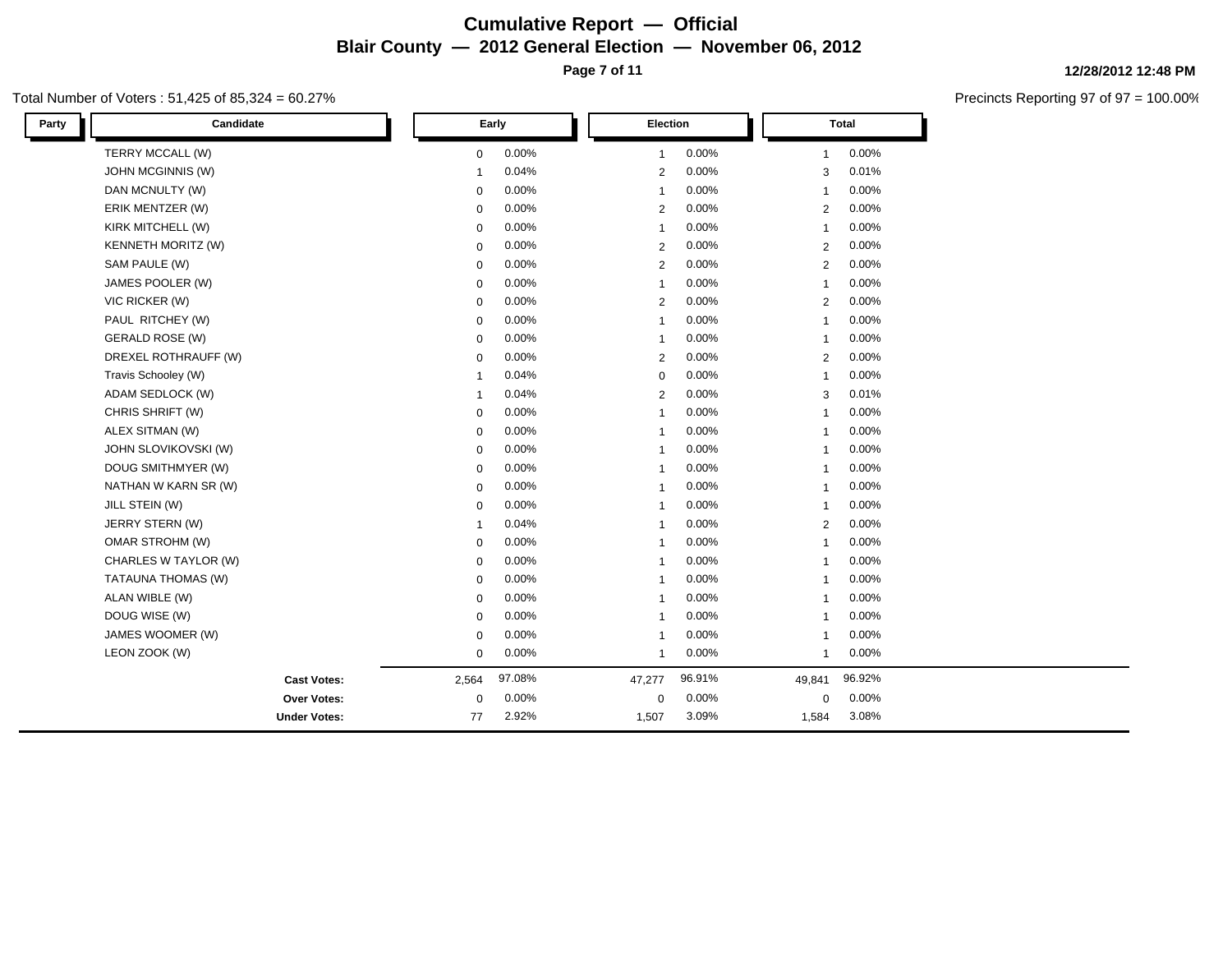# **Cumulative Report — Official Blair County — 2012 General Election — November 06, 2012 Page 7 of 11**

Total Number of Voters : 51,425 of 85,324 = 60.27%

| Party | Candidate                 |                | Early  | Election       |        |                | <b>Total</b> |
|-------|---------------------------|----------------|--------|----------------|--------|----------------|--------------|
|       | TERRY MCCALL (W)          | $\mathbf 0$    | 0.00%  | $\mathbf{1}$   | 0.00%  | -1             | 0.00%        |
|       | JOHN MCGINNIS (W)         | $\mathbf{1}$   | 0.04%  | $\overline{2}$ | 0.00%  | 3              | 0.01%        |
|       | DAN MCNULTY (W)           | $\pmb{0}$      | 0.00%  | $\mathbf{1}$   | 0.00%  | $\mathbf{1}$   | 0.00%        |
|       | ERIK MENTZER (W)          | $\mathbf 0$    | 0.00%  | $\overline{2}$ | 0.00%  | 2              | 0.00%        |
|       | KIRK MITCHELL (W)         | $\mathbf 0$    | 0.00%  | $\overline{1}$ | 0.00%  | $\mathbf{1}$   | 0.00%        |
|       | <b>KENNETH MORITZ (W)</b> | $\mathbf 0$    | 0.00%  | $\overline{2}$ | 0.00%  | 2              | 0.00%        |
|       | SAM PAULE (W)             | $\mathbf 0$    | 0.00%  | $\overline{2}$ | 0.00%  | $\overline{2}$ | 0.00%        |
|       | JAMES POOLER (W)          | $\mathbf 0$    | 0.00%  | $\mathbf{1}$   | 0.00%  | $\overline{1}$ | 0.00%        |
|       | VIC RICKER (W)            | $\mathbf 0$    | 0.00%  | $\overline{2}$ | 0.00%  | 2              | 0.00%        |
|       | PAUL RITCHEY (W)          | 0              | 0.00%  | $\mathbf{1}$   | 0.00%  | -1             | 0.00%        |
|       | <b>GERALD ROSE (W)</b>    | 0              | 0.00%  | $\overline{1}$ | 0.00%  | $\mathbf{1}$   | 0.00%        |
|       | DREXEL ROTHRAUFF (W)      | $\mathbf 0$    | 0.00%  | $\overline{2}$ | 0.00%  | 2              | 0.00%        |
|       | Travis Schooley (W)       | $\overline{1}$ | 0.04%  | $\mathbf 0$    | 0.00%  | $\overline{1}$ | 0.00%        |
|       | ADAM SEDLOCK (W)          | $\mathbf{1}$   | 0.04%  | $\overline{2}$ | 0.00%  | 3              | 0.01%        |
|       | CHRIS SHRIFT (W)          | 0              | 0.00%  | -1             | 0.00%  | $\mathbf{1}$   | 0.00%        |
|       | ALEX SITMAN (W)           | $\mathbf 0$    | 0.00%  | $\overline{1}$ | 0.00%  | -1             | 0.00%        |
|       | JOHN SLOVIKOVSKI (W)      | $\mathbf 0$    | 0.00%  | $\mathbf{1}$   | 0.00%  | $\mathbf{1}$   | 0.00%        |
|       | DOUG SMITHMYER (W)        | $\mathbf 0$    | 0.00%  | $\overline{1}$ | 0.00%  | $\mathbf{1}$   | 0.00%        |
|       | NATHAN W KARN SR (W)      | $\mathbf 0$    | 0.00%  | -1             | 0.00%  | -1             | 0.00%        |
|       | JILL STEIN (W)            | $\mathbf 0$    | 0.00%  | -1             | 0.00%  | -1             | 0.00%        |
|       | JERRY STERN (W)           | $\mathbf{1}$   | 0.04%  | $\overline{1}$ | 0.00%  | $\overline{2}$ | 0.00%        |
|       | OMAR STROHM (W)           | $\mathbf 0$    | 0.00%  | -1             | 0.00%  | $\mathbf{1}$   | 0.00%        |
|       | CHARLES W TAYLOR (W)      | $\mathbf 0$    | 0.00%  | $\overline{1}$ | 0.00%  | $\overline{1}$ | 0.00%        |
|       | TATAUNA THOMAS (W)        | $\mathbf 0$    | 0.00%  | $\mathbf{1}$   | 0.00%  | -1             | 0.00%        |
|       | ALAN WIBLE (W)            | $\mathbf 0$    | 0.00%  | $\overline{1}$ | 0.00%  | -1             | 0.00%        |
|       | DOUG WISE (W)             | $\mathbf 0$    | 0.00%  | -1             | 0.00%  | -1             | 0.00%        |
|       | JAMES WOOMER (W)          | $\mathbf 0$    | 0.00%  | $\overline{1}$ | 0.00%  | $\mathbf{1}$   | 0.00%        |
|       | LEON ZOOK (W)             | $\mathbf 0$    | 0.00%  | $\mathbf{1}$   | 0.00%  | $\mathbf{1}$   | 0.00%        |
|       | <b>Cast Votes:</b>        | 2,564          | 97.08% | 47,277         | 96.91% | 49,841         | 96.92%       |
|       | Over Votes:               | 0              | 0.00%  | $\mathbf 0$    | 0.00%  | $\mathbf 0$    | 0.00%        |
|       | <b>Under Votes:</b>       | 77             | 2.92%  | 1,507          | 3.09%  | 1,584          | 3.08%        |

### **12/28/2012 12:48 PM**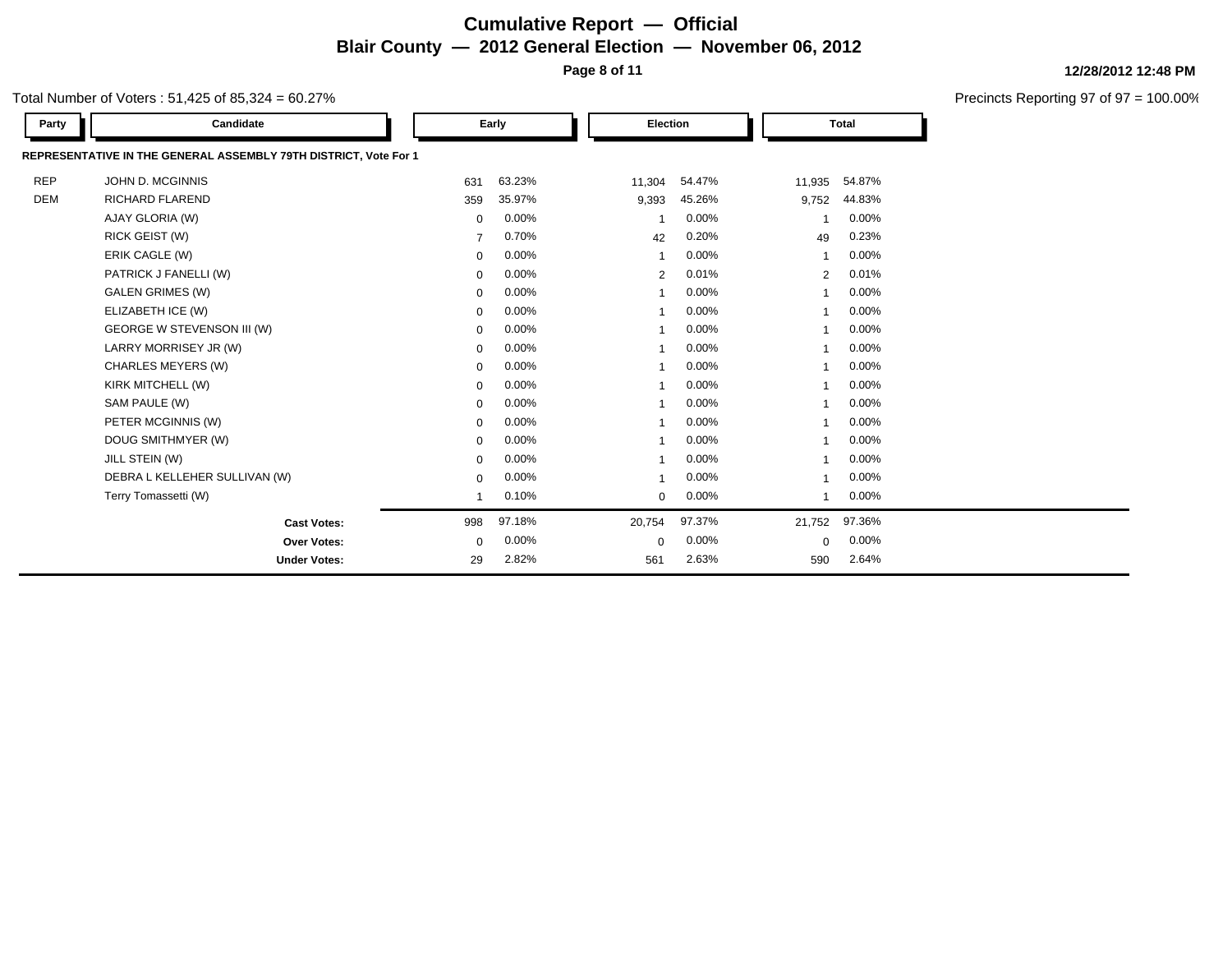# **Cumulative Report — Official Blair County — 2012 General Election — November 06, 2012 Page 8 of 11**

**12/28/2012 12:48 PM**

Precincts Reporting 97 of 97 = 100.00%

Total Number of Voters : 51,425 of 85,324 = 60.27%

| Party      | Candidate                                                        |                | Early  | <b>Election</b> |        | <b>Total</b>   |        |
|------------|------------------------------------------------------------------|----------------|--------|-----------------|--------|----------------|--------|
|            | REPRESENTATIVE IN THE GENERAL ASSEMBLY 79TH DISTRICT, Vote For 1 |                |        |                 |        |                |        |
| <b>REP</b> | JOHN D. MCGINNIS                                                 | 631            | 63.23% | 11,304          | 54.47% | 11,935         | 54.87% |
| <b>DEM</b> | <b>RICHARD FLAREND</b>                                           | 359            | 35.97% | 9,393           | 45.26% | 9,752          | 44.83% |
|            | AJAY GLORIA (W)                                                  | $\mathbf 0$    | 0.00%  |                 | 0.00%  |                | 0.00%  |
|            | RICK GEIST (W)                                                   | $\overline{7}$ | 0.70%  | 42              | 0.20%  | 49             | 0.23%  |
|            | ERIK CAGLE (W)                                                   | 0              | 0.00%  |                 | 0.00%  |                | 0.00%  |
|            | PATRICK J FANELLI (W)                                            | 0              | 0.00%  | 2               | 0.01%  | $\overline{2}$ | 0.01%  |
|            | <b>GALEN GRIMES (W)</b>                                          | $\mathbf 0$    | 0.00%  |                 | 0.00%  |                | 0.00%  |
|            | ELIZABETH ICE (W)                                                | 0              | 0.00%  |                 | 0.00%  |                | 0.00%  |
|            | GEORGE W STEVENSON III (W)                                       | $\mathbf 0$    | 0.00%  |                 | 0.00%  |                | 0.00%  |
|            | LARRY MORRISEY JR (W)                                            | $\mathbf 0$    | 0.00%  |                 | 0.00%  |                | 0.00%  |
|            | CHARLES MEYERS (W)                                               | $\mathbf 0$    | 0.00%  |                 | 0.00%  |                | 0.00%  |
|            | KIRK MITCHELL (W)                                                | $\mathbf 0$    | 0.00%  |                 | 0.00%  |                | 0.00%  |
|            | SAM PAULE (W)                                                    | $\mathbf 0$    | 0.00%  |                 | 0.00%  |                | 0.00%  |
|            | PETER MCGINNIS (W)                                               | 0              | 0.00%  |                 | 0.00%  |                | 0.00%  |
|            | DOUG SMITHMYER (W)                                               | 0              | 0.00%  |                 | 0.00%  |                | 0.00%  |
|            | JILL STEIN (W)                                                   | 0              | 0.00%  |                 | 0.00%  |                | 0.00%  |
|            | DEBRA L KELLEHER SULLIVAN (W)                                    | 0              | 0.00%  |                 | 0.00%  |                | 0.00%  |
|            | Terry Tomassetti (W)                                             |                | 0.10%  | $\mathbf 0$     | 0.00%  | 1              | 0.00%  |
|            | <b>Cast Votes:</b>                                               | 998            | 97.18% | 20,754          | 97.37% | 21,752         | 97.36% |
|            | <b>Over Votes:</b>                                               | 0              | 0.00%  | $\Omega$        | 0.00%  | $\Omega$       | 0.00%  |
|            | <b>Under Votes:</b>                                              | 29             | 2.82%  | 561             | 2.63%  | 590            | 2.64%  |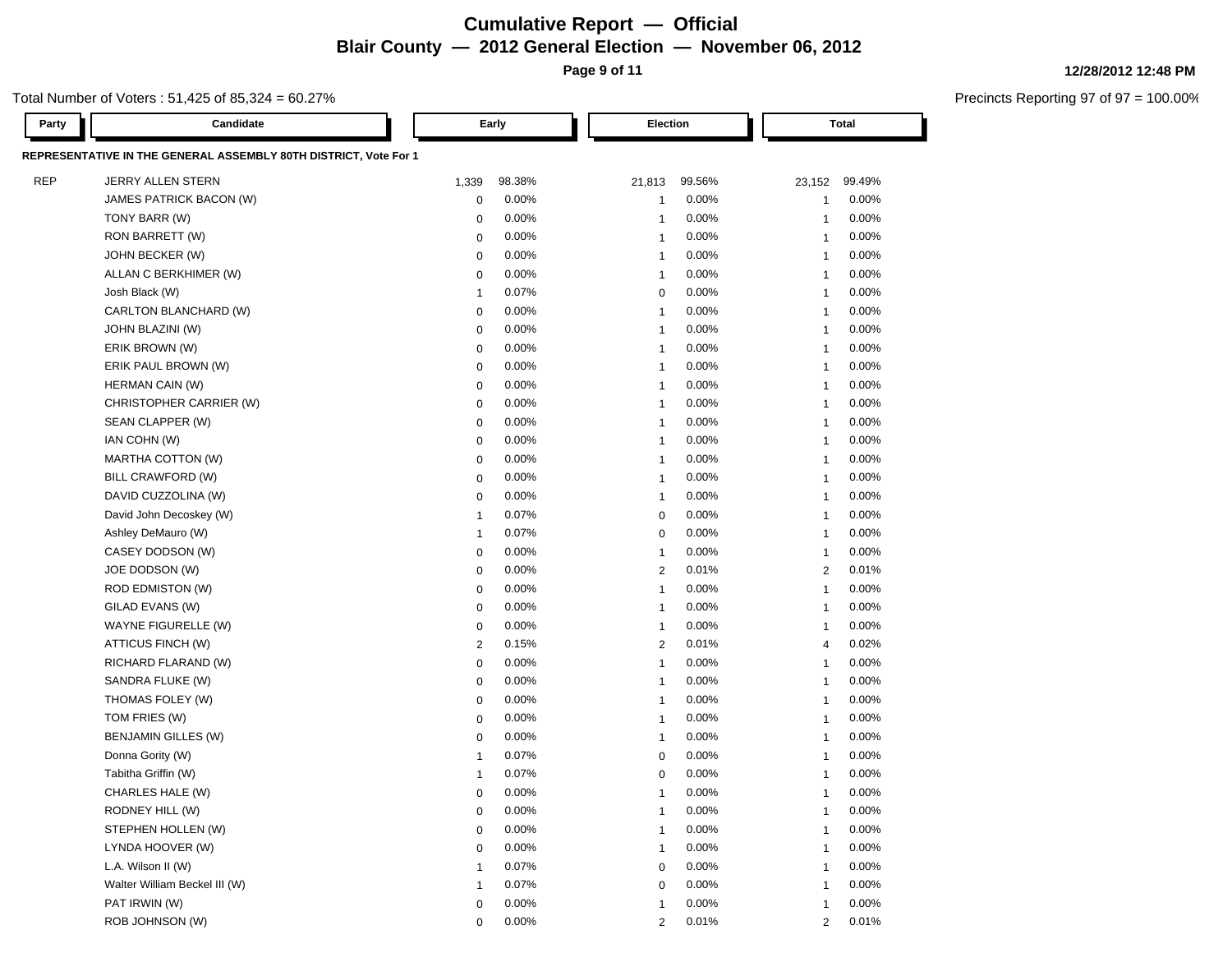# **Cumulative Report — Official Blair County — 2012 General Election — November 06, 2012**

**Page 9 of 11**

### Total Number of Voters : 51,425 of 85,324 = 60.27%

| Party      | Candidate                                                        |                         | Early    | <b>Election</b> |          |                | <b>Total</b> |
|------------|------------------------------------------------------------------|-------------------------|----------|-----------------|----------|----------------|--------------|
|            | REPRESENTATIVE IN THE GENERAL ASSEMBLY 80TH DISTRICT, Vote For 1 |                         |          |                 |          |                |              |
| <b>REP</b> | JERRY ALLEN STERN                                                | 1,339                   | 98.38%   | 21,813          | 99.56%   | 23,152         | 99.49%       |
|            | JAMES PATRICK BACON (W)                                          | 0                       | 0.00%    | -1              | 0.00%    | $\mathbf{1}$   | 0.00%        |
|            | TONY BARR (W)                                                    | $\mathbf 0$             | 0.00%    | $\overline{1}$  | 0.00%    | $\mathbf{1}$   | 0.00%        |
|            | RON BARRETT (W)                                                  | $\mathbf 0$             | 0.00%    | $\overline{1}$  | 0.00%    | $\mathbf{1}$   | 0.00%        |
|            | JOHN BECKER (W)                                                  | $\mathbf 0$             | 0.00%    | $\overline{1}$  | 0.00%    | $\mathbf{1}$   | 0.00%        |
|            | ALLAN C BERKHIMER (W)                                            | 0                       | 0.00%    | $\overline{1}$  | 0.00%    | $\mathbf{1}$   | 0.00%        |
|            | Josh Black (W)                                                   | $\overline{1}$          | 0.07%    | 0               | 0.00%    | $\mathbf{1}$   | 0.00%        |
|            | CARLTON BLANCHARD (W)                                            | $\mathbf 0$             | 0.00%    | $\overline{1}$  | 0.00%    | $\mathbf{1}$   | 0.00%        |
|            | JOHN BLAZINI (W)                                                 | $\mathbf 0$             | 0.00%    | $\overline{1}$  | 0.00%    | $\mathbf{1}$   | 0.00%        |
|            | ERIK BROWN (W)                                                   | $\mathbf 0$             | 0.00%    | $\overline{1}$  | 0.00%    | $\mathbf{1}$   | 0.00%        |
|            | ERIK PAUL BROWN (W)                                              | $\mathbf 0$             | 0.00%    | $\overline{1}$  | 0.00%    | $\mathbf{1}$   | 0.00%        |
|            | HERMAN CAIN (W)                                                  | $\mathbf 0$             | 0.00%    | $\overline{1}$  | 0.00%    | $\overline{1}$ | 0.00%        |
|            | CHRISTOPHER CARRIER (W)                                          | $\mathbf 0$             | 0.00%    | $\overline{1}$  | 0.00%    | $\overline{1}$ | 0.00%        |
|            | SEAN CLAPPER (W)                                                 | $\mathbf 0$             | 0.00%    | $\overline{1}$  | 0.00%    | $\overline{1}$ | 0.00%        |
|            | IAN COHN (W)                                                     | $\mathbf 0$             | 0.00%    | $\overline{1}$  | 0.00%    | $\overline{1}$ | 0.00%        |
|            | MARTHA COTTON (W)                                                | $\mathbf 0$             | 0.00%    | $\overline{1}$  | 0.00%    | $\overline{1}$ | 0.00%        |
|            | BILL CRAWFORD (W)                                                | $\mathbf 0$             | 0.00%    | $\overline{1}$  | 0.00%    | $\overline{1}$ | 0.00%        |
|            | DAVID CUZZOLINA (W)                                              | $\mathbf 0$             | 0.00%    | $\overline{1}$  | 0.00%    | $\overline{1}$ | 0.00%        |
|            | David John Decoskey (W)                                          | $\overline{\mathbf{1}}$ | 0.07%    | $\mathbf 0$     | 0.00%    | $\overline{1}$ | 0.00%        |
|            | Ashley DeMauro (W)                                               | $\overline{\mathbf{1}}$ | 0.07%    | $\mathbf 0$     | 0.00%    | $\overline{1}$ | 0.00%        |
|            | CASEY DODSON (W)                                                 | $\mathbf 0$             | 0.00%    | $\overline{1}$  | 0.00%    | $\overline{1}$ | 0.00%        |
|            | JOE DODSON (W)                                                   | $\mathbf 0$             | 0.00%    | $\overline{2}$  | 0.01%    | 2              | 0.01%        |
|            | ROD EDMISTON (W)                                                 | $\mathbf 0$             | 0.00%    | $\overline{1}$  | 0.00%    | $\overline{1}$ | 0.00%        |
|            | GILAD EVANS (W)                                                  | $\mathbf 0$             | 0.00%    | $\overline{1}$  | 0.00%    | $\overline{1}$ | 0.00%        |
|            | WAYNE FIGURELLE (W)                                              | $\mathbf 0$             | 0.00%    | $\overline{1}$  | $0.00\%$ | $\overline{1}$ | 0.00%        |
|            | ATTICUS FINCH (W)                                                | $\overline{2}$          | 0.15%    | $\overline{2}$  | 0.01%    | $\overline{4}$ | 0.02%        |
|            | RICHARD FLARAND (W)                                              | $\mathbf 0$             | 0.00%    | $\overline{1}$  | 0.00%    | $\overline{1}$ | 0.00%        |
|            | SANDRA FLUKE (W)                                                 | $\mathbf 0$             | 0.00%    | $\overline{1}$  | 0.00%    | $\overline{1}$ | 0.00%        |
|            | THOMAS FOLEY (W)                                                 | $\mathbf 0$             | 0.00%    | -1              | 0.00%    | -1             | 0.00%        |
|            | TOM FRIES (W)                                                    | $\mathbf 0$             | 0.00%    | -1              | 0.00%    | $\overline{1}$ | 0.00%        |
|            | BENJAMIN GILLES (W)                                              | $\mathbf 0$             | 0.00%    | -1              | 0.00%    | $\overline{1}$ | 0.00%        |
|            | Donna Gority (W)                                                 | -1                      | 0.07%    | $\mathbf 0$     | 0.00%    | $\overline{1}$ | 0.00%        |
|            | Tabitha Griffin (W)                                              | -1                      | 0.07%    | 0               | 0.00%    | $\overline{1}$ | 0.00%        |
|            | CHARLES HALE (W)                                                 | $\mathbf 0$             | 0.00%    | 1               | 0.00%    | $\mathbf{1}$   | 0.00%        |
|            | RODNEY HILL (W)                                                  | $\mathbf 0$             | $0.00\%$ | $\overline{1}$  | $0.00\%$ | 1              | $0.00\%$     |
|            | STEPHEN HOLLEN (W)                                               | $\mathbf 0$             | 0.00%    | $\overline{1}$  | 0.00%    | $\mathbf{1}$   | 0.00%        |
|            | LYNDA HOOVER (W)                                                 | $\mathbf 0$             | 0.00%    | $\overline{1}$  | 0.00%    | $\mathbf{1}$   | 0.00%        |
|            | L.A. Wilson II (W)                                               | -1                      | 0.07%    | $\mathbf 0$     | 0.00%    | $\overline{1}$ | 0.00%        |
|            | Walter William Beckel III (W)                                    | $\overline{1}$          | 0.07%    | 0               | 0.00%    | $\overline{1}$ | 0.00%        |
|            | PAT IRWIN (W)                                                    | $\mathbf 0$             | 0.00%    | -1              | 0.00%    | $\mathbf{1}$   | 0.00%        |
|            | ROB JOHNSON (W)                                                  | $\mathbf 0$             | 0.00%    | 2               | 0.01%    | 2              | 0.01%        |

#### **12/28/2012 12:48 PM**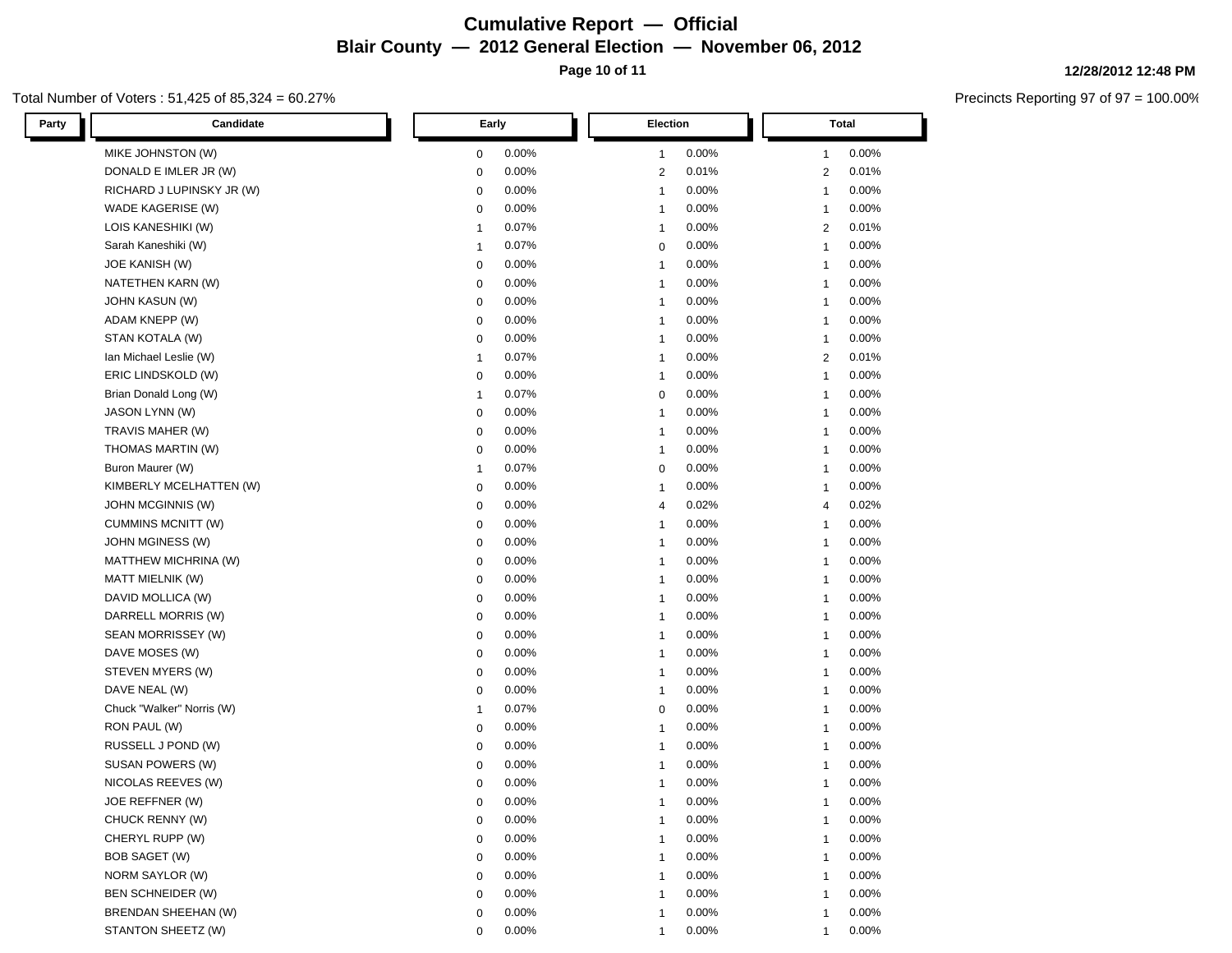### **Cumulative Report — Official Blair County — 2012 General Election — November 06, 2012 Page 10 of 11**

### Total Number of Voters : 51,425 of 85,324 = 60.27%

| Candidate<br>Party         | Early                   | Election                | <b>Total</b>   |
|----------------------------|-------------------------|-------------------------|----------------|
| MIKE JOHNSTON (W)          | 0.00%                   | 0.00%                   | 0.00%          |
|                            | $\mathbf 0$             | $\mathbf{1}$            | 1              |
| DONALD E IMLER JR (W)      | 0.00%                   | 0.01%                   | 0.01%          |
|                            | $\mathbf 0$             | 2                       | 2              |
| RICHARD J LUPINSKY JR (W)  | 0.00%                   | 0.00%                   | 0.00%          |
|                            | $\mathbf 0$             | $\mathbf{1}$            | -1             |
| WADE KAGERISE (W)          | 0.00%                   | 0.00%                   | 0.00%          |
|                            | $\mathbf 0$             | $\mathbf{1}$            | -1             |
| LOIS KANESHIKI (W)         | 0.07%                   | 0.00%                   | 0.01%          |
|                            | -1                      | $\mathbf{1}$            | 2              |
| Sarah Kaneshiki (W)        | 0.07%                   | $0.00\%$                | 0.00%          |
|                            | $\mathbf{1}$            | 0                       | $\mathbf{1}$   |
| <b>JOE KANISH (W)</b>      | 0.00%                   | 0.00%                   | 0.00%          |
|                            | $\mathbf 0$             | $\mathbf{1}$            | -1             |
| NATETHEN KARN (W)          | 0.00%                   | 0.00%                   | 0.00%          |
|                            | $\mathbf 0$             | $\mathbf{1}$            | $\mathbf{1}$   |
| <b>JOHN KASUN (W)</b>      | 0.00%                   | 0.00%                   | 0.00%          |
|                            | $\mathbf 0$             | $\mathbf{1}$            | $\mathbf{1}$   |
| ADAM KNEPP (W)             | 0.00%                   | 0.00%                   | 0.00%          |
|                            | $\mathbf 0$             | $\mathbf{1}$            | -1             |
| STAN KOTALA (W)            | 0.00%                   | 0.00%                   | 0.00%          |
|                            | $\mathbf 0$             | $\mathbf{1}$            | -1             |
| Ian Michael Leslie (W)     | 0.07%                   | 0.00%                   | 0.01%          |
|                            | $\mathbf{1}$            | $\mathbf{1}$            | 2              |
| ERIC LINDSKOLD (W)         | 0.00%                   | 0.00%                   | 0.00%          |
|                            | $\mathbf 0$             | $\mathbf{1}$            | $\mathbf{1}$   |
| Brian Donald Long (W)      | 0.07%                   | 0.00%                   | 0.00%          |
|                            | $\mathbf{1}$            | 0                       | $\mathbf{1}$   |
| JASON LYNN (W)             | 0.00%                   | 0.00%                   | 0.00%          |
|                            | 0                       | $\mathbf{1}$            | $\mathbf{1}$   |
| TRAVIS MAHER (W)           | 0.00%                   | 0.00%                   | 0.00%          |
|                            | $\mathbf 0$             | $\mathbf{1}$            | $\mathbf{1}$   |
| THOMAS MARTIN (W)          | 0.00%                   | 0.00%                   | 0.00%          |
|                            | $\mathbf 0$             | $\mathbf{1}$            | $\mathbf{1}$   |
| Buron Maurer (W)           | 0.07%                   | 0.00%                   | 0.00%          |
|                            | -1                      | $\mathbf 0$             | $\mathbf{1}$   |
| KIMBERLY MCELHATTEN (W)    | 0.00%                   | 0.00%                   | 0.00%          |
|                            | $\mathbf 0$             | $\mathbf{1}$            | -1             |
| JOHN MCGINNIS (W)          | 0.00%                   | 0.02%                   | 0.02%          |
|                            | $\mathbf 0$             | $\overline{4}$          | $\overline{4}$ |
| <b>CUMMINS MCNITT (W)</b>  | 0.00%                   | 0.00%                   | 0.00%          |
|                            | $\mathbf 0$             | $\mathbf{1}$            | $\mathbf{1}$   |
| JOHN MGINESS (W)           | 0.00%                   | 0.00%                   | 0.00%          |
|                            | $\mathbf 0$             | $\mathbf{1}$            | $\mathbf{1}$   |
| MATTHEW MICHRINA (W)       | 0.00%                   | 0.00%                   | 0.00%          |
|                            | $\mathbf 0$             | $\mathbf{1}$            | $\mathbf{1}$   |
| MATT MIELNIK (W)           | 0.00%                   | 0.00%                   | 0.00%          |
|                            | $\mathbf 0$             | $\mathbf{1}$            | $\mathbf{1}$   |
| DAVID MOLLICA (W)          | 0.00%                   | 0.00%                   | 0.00%          |
|                            | $\mathbf 0$             | $\mathbf{1}$            | -1             |
| DARRELL MORRIS (W)         | 0.00%                   | 0.00%                   | 0.00%          |
|                            | $\mathbf 0$             | $\mathbf{1}$            | $\mathbf 1$    |
| SEAN MORRISSEY (W)         | 0.00%                   | 0.00%                   | 0.00%          |
|                            | $\mathbf 0$             | $\mathbf{1}$            | $\mathbf{1}$   |
| DAVE MOSES (W)             | 0.00%                   | 0.00%                   | 0.00%          |
|                            | $\mathbf 0$             | $\mathbf{1}$            | -1             |
| STEVEN MYERS (W)           | 0.00%                   | 0.00%                   | 0.00%          |
|                            | $\mathbf 0$             | $\overline{\mathbf{1}}$ | -1             |
| DAVE NEAL (W)              | 0.00%                   | 0.00%                   | 0.00%          |
|                            | $\mathbf 0$             | $\overline{\mathbf{1}}$ | -1             |
| Chuck "Walker" Norris (W)  | 0.07%                   | 0.00%                   | 0.00%          |
|                            | $\overline{1}$          | 0                       | -1             |
| RON PAUL (W)               | 0.00%                   | 0.00%                   | 0.00%          |
|                            | $\mathbf 0$             | $\overline{\mathbf{1}}$ | -1             |
| RUSSELL J POND (W)         | 0.00%                   | 0.00%                   | 0.00%          |
|                            | $\mathbf 0$             | -1                      | -1             |
| SUSAN POWERS (W)           | 0.00%                   | 0.00%                   | 0.00%          |
|                            | $\mathbf 0$             | -1                      | -1             |
| NICOLAS REEVES (W)         | 0.00%                   | 0.00%                   | 0.00%          |
|                            | 0                       | -1                      | -1             |
| JOE REFFNER (W)            | $0.00\%$<br>$\mathbf 0$ | 0.00%                   | 0.00%<br>1     |
| CHUCK RENNY (W)            | 0.00%                   | 0.00%                   | 0.00%          |
|                            | $\mathbf 0$             | $\mathbf{1}$            | $\mathbf{1}$   |
| CHERYL RUPP (W)            | 0.00%                   | 0.00%                   | 0.00%          |
|                            | $\mathbf 0$             | -1                      | 1              |
| <b>BOB SAGET (W)</b>       | 0.00%                   | 0.00%                   | 0.00%          |
|                            | $\mathbf 0$             | $\overline{1}$          | 1              |
| NORM SAYLOR (W)            | 0.00%                   | 0.00%                   | 0.00%          |
|                            | $\mathbf 0$             | -1                      | 1              |
| <b>BEN SCHNEIDER (W)</b>   | 0.00%                   | 0.00%                   | 0.00%          |
|                            | $\mathbf 0$             | -1                      | 1              |
| <b>BRENDAN SHEEHAN (W)</b> | 0.00%                   | 0.00%                   | 0.00%          |
|                            | $\mathbf 0$             | -1                      | 1              |
| STANTON SHEETZ (W)         | 0.00%<br>$\mathbf 0$    | 0.00%                   | 0.00%          |

#### **12/28/2012 12:48 PM**